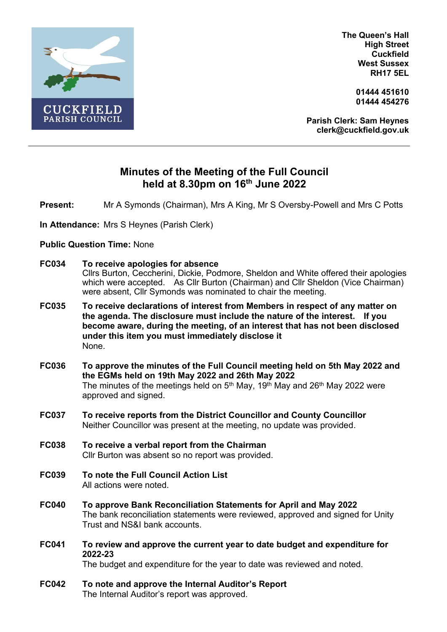

**The Queen's Hall High Street Cuckfield West Sussex RH17 5EL**

> **01444 451610 01444 454276**

**Parish Clerk: Sam Heynes clerk@cuckfield.gov.uk**

## **Minutes of the Meeting of the Full Council held at 8.30pm on 16th June 2022**

**Present:** Mr A Symonds (Chairman), Mrs A King, Mr S Oversby-Powell and Mrs C Potts

**In Attendance:** Mrs S Heynes (Parish Clerk)

## **Public Question Time:** None

| <b>FC034</b> | To receive apologies for absence<br>Cllrs Burton, Ceccherini, Dickie, Podmore, Sheldon and White offered their apologies<br>which were accepted. As Cllr Burton (Chairman) and Cllr Sheldon (Vice Chairman)<br>were absent, Cllr Symonds was nominated to chair the meeting.                               |
|--------------|------------------------------------------------------------------------------------------------------------------------------------------------------------------------------------------------------------------------------------------------------------------------------------------------------------|
| <b>FC035</b> | To receive declarations of interest from Members in respect of any matter on<br>the agenda. The disclosure must include the nature of the interest.<br>If you<br>become aware, during the meeting, of an interest that has not been disclosed<br>under this item you must immediately disclose it<br>None. |
| <b>FC036</b> | To approve the minutes of the Full Council meeting held on 5th May 2022 and<br>the EGMs held on 19th May 2022 and 26th May 2022<br>The minutes of the meetings held on 5 <sup>th</sup> May, 19 <sup>th</sup> May and 26 <sup>th</sup> May 2022 were<br>approved and signed.                                |
| <b>FC037</b> | To receive reports from the District Councillor and County Councillor<br>Neither Councillor was present at the meeting, no update was provided.                                                                                                                                                            |
| <b>FC038</b> | To receive a verbal report from the Chairman<br>Cllr Burton was absent so no report was provided.                                                                                                                                                                                                          |
| <b>FC039</b> | To note the Full Council Action List<br>All actions were noted.                                                                                                                                                                                                                                            |
| <b>FC040</b> | To approve Bank Reconciliation Statements for April and May 2022<br>The bank reconciliation statements were reviewed, approved and signed for Unity<br>Trust and NS&I bank accounts.                                                                                                                       |
| <b>FC041</b> | To review and approve the current year to date budget and expenditure for<br>2022-23<br>The budget and expenditure for the year to date was reviewed and noted.                                                                                                                                            |
| <b>FC042</b> | To note and approve the Internal Auditor's Report<br>The Internal Auditor's report was approved.                                                                                                                                                                                                           |
|              |                                                                                                                                                                                                                                                                                                            |